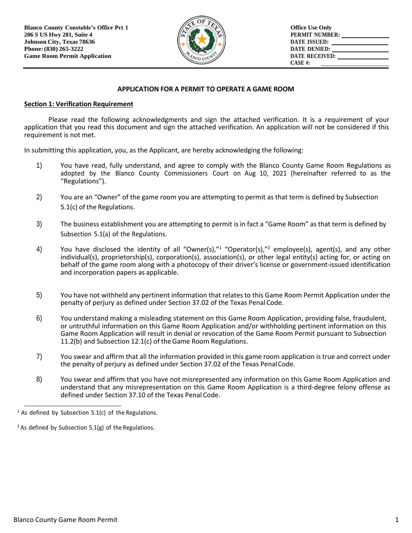

# **APPLICATION FOR A PERMIT TO OPERATE A GAME ROOM**

#### **Section 1: Verification Requirement**

Please read the following acknowledgments and sign the attached verification. It is a requirement of your application that you read this document and sign the attached verification. An application will not be considered if this requirement is not met.

In submitting this application, you, as the Applicant, are hereby acknowledging the following:

- 1) You have read, fully understand, and agree to comply with the Blanco County Game Room Regulations as adopted by the Blanco County Commissioners Court on Aug 10, 2021 (hereinafter referred to as the "Regulations").
- 2) You are an "Owner" of the game room you are attempting to permit as that term is defined by Subsection 5.1(c) of the Regulations.
- 3) The business establishment you are attempting to permit is in fact a "Game Room" as that term is defined by Subsection 5.1(a) of the Regulations.
- 4) You have disclosed the identity of all "Owner(s),"<sup>1</sup> "Operator(s),"<sup>2</sup> employee(s), agent(s), and any other individual(s), proprietorship(s), corporation(s), association(s), or other legal entity(s) acting for, or acting on behalf of the game room along with a photocopy of their driver's license or government-issued identification and incorporation papers as applicable.
- 5) You have not withheld any pertinent information that relatesto this Game Room Permit Application under the penalty of perjury as defined under Section 37.02 of the Texas Penal Code.
- 6) You understand making a misleading statement on this Game Room Application, providing false, fraudulent, or untruthful information on this Game Room Application and/or withholding pertinent information on this Game Room Application will result in denial or revocation of the Game Room Permit pursuant to Subsection 11.2(b) and Subsection 12.1(c) of theGame Room Regulations.
- 7) You swear and affirm that all the information provided in this game room application is true and correct under the penalty of perjury as defined under Section 37.02 of the Texas PenalCode.
- 8) You swear and affirm that you have not misrepresented any information on this Game Room Application and understand that any misrepresentation on this Game Room Application is a third-degree felony offense as defined under Section 37.10 of the Texas Penal Code.

<sup>&</sup>lt;sup>1</sup> As defined by Subsection 5.1(c) of the Regulations.

 $2$  As defined by Subsection 5.1(g) of the Regulations.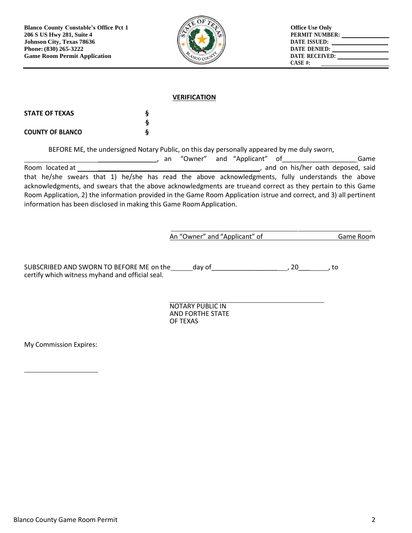

#### **VERIFICATION**

| <b>STATE OF TEXAS</b>   |  |
|-------------------------|--|
|                         |  |
| <b>COUNTY OF BLANCO</b> |  |

BEFORE ME, the undersigned Notary Public, on this day personally appeared by me duly sworn,

\_\_\_\_\_\_\_\_\_\_\_\_\_\_\_\_, an "Owner" and "Applicant" of\_\_\_\_\_\_\_\_\_\_\_\_\_\_\_\_\_\_\_\_ Game Room located at \_\_\_\_\_\_\_\_\_\_\_\_\_\_\_\_\_\_\_\_\_\_\_\_\_\_\_\_\_\_\_\_\_\_\_\_\_\_\_\_\_\_\_\_, and on his/her oath deposed, said that he/she swears that 1) he/she has read the above acknowledgments, fully understands the above acknowledgments, and swears that the above acknowledgments are trueand correct as they pertain to this Game Room Application, 2) the information provided in the Game Room Application istrue and correct, and 3) all pertinent information has been disclosed in making this Game RoomApplication.

| An "Owner" and "Applicant" of | Game Room |
|-------------------------------|-----------|
|                               |           |

SUBSCRIBED AND SWORN TO BEFORE ME on the day of day of the day of the day of the day of the day of the day of the day of the day of the day of the day of the day of the day of the day of the day of the day of the day of th certify which witness myhand and official seal.

> NOTARY PUBLIC IN AND FORTHE STATE OF TEXAS

My Commission Expires: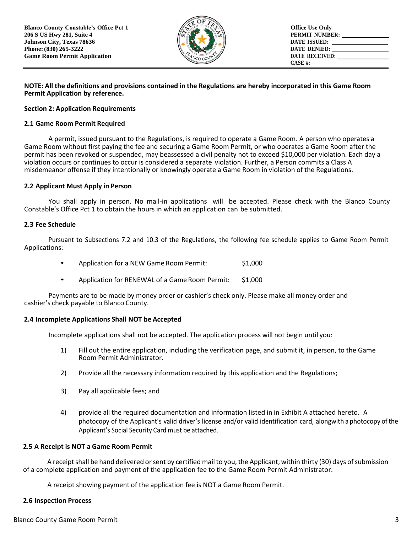

### NOTE: All the definitions and provisions contained in the Regulations are hereby incorporated in this Game Room **Permit Application by reference.**

## **Section 2: Application Requirements**

## **2.1 Game Room Permit Required**

A permit, issued pursuant to the Regulations, is required to operate a Game Room. A person who operates a Game Room without first paying the fee and securing a Game Room Permit, or who operates a Game Room after the permit has been revoked or suspended, may beassessed a civil penalty not to exceed \$10,000 per violation. Each day a violation occurs or continues to occur is considered a separate violation. Further, a Person commits a Class A misdemeanor offense if they intentionally or knowingly operate a Game Room in violation of the Regulations.

# **2.2 Applicant Must Apply in Person**

You shall apply in person. No mail-in applications will be accepted. Please check with the Blanco County Constable's Office Pct 1 to obtain the hours in which an application can be submitted.

## **2.3 Fee Schedule**

Pursuant to Subsections 7.2 and 10.3 of the Regulations, the following fee schedule applies to Game Room Permit Applications:

- Application for a NEW Game Room Permit: \$1,000
- Application for RENEWAL of a Game Room Permit: \$1,000

Payments are to be made by money order or cashier's check only. Please make all money order and cashier's check payable to Blanco County.

# **2.4 Incomplete Applications Shall NOT be Accepted**

Incomplete applications shall not be accepted. The application process will not begin until you:

- 1) Fill out the entire application, including the verification page, and submit it, in person, to the Game Room Permit Administrator.
- 2) Provide all the necessary information required by this application and the Regulations;
- 3) Pay all applicable fees; and
- 4) provide all the required documentation and information listed in in Exhibit A attached hereto. A photocopy of the Applicant's valid driver's license and/or valid identification card, alongwith a photocopy of the Applicant's Social Security Card must be attached.

#### **2.5 A Receipt is NOT a Game Room Permit**

A receipt shall be hand delivered or sent by certified mail to you, the Applicant, within thirty (30) days of submission of a complete application and payment of the application fee to the Game Room Permit Administrator.

A receipt showing payment of the application fee is NOT a Game Room Permit.

#### **2.6 Inspection Process**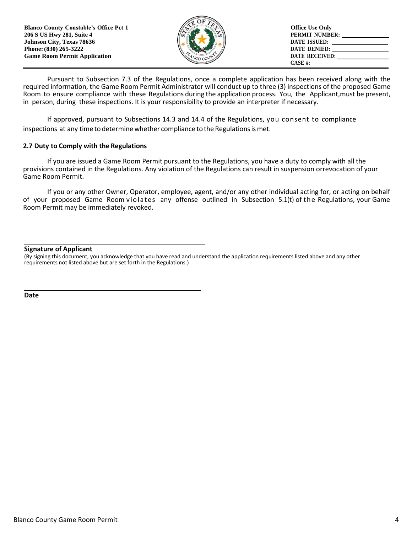| <b>Blanco County Constable's Office Pct 1</b><br>206 S US Hwy 281, Suite 4                       | <b>Office Use Only</b><br><b>PERMIT NUMBER:</b>                  |
|--------------------------------------------------------------------------------------------------|------------------------------------------------------------------|
| <b>Johnson City, Texas 78636</b><br>Phone: (830) 265-3222<br><b>Game Room Permit Application</b> | DATE ISSUED:<br>DATE DENIED:<br><b>DATE RECEIVED:</b><br>CASE #: |

Pursuant to Subsection 7.3 of the Regulations, once a complete application has been received along with the required information, the Game Room Permit Administrator will conduct up to three (3) inspections of the proposed Game Room to ensure compliance with these Regulations during the application process. You, the Applicant,must be present, in person, during these inspections. It is your responsibility to provide an interpreter if necessary.

If approved, pursuant to Subsections 14.3 and 14.4 of the Regulations, you consent to compliance inspections at any time to determine whether compliance to the Regulations is met.

#### **2.7 Duty to Comply with the Regulations**

If you are issued a Game Room Permit pursuant to the Regulations, you have a duty to comply with all the provisions contained in the Regulations. Any violation of the Regulations can result in suspension orrevocation of your Game Room Permit.

If you or any other Owner, Operator, employee, agent, and/or any other individual acting for, or acting on behalf of your proposed Game Room violates any offense outlined in Subsection 5.1(t) of the Regulations, your Game Room Permit may be immediately revoked.

#### **Signature of Applicant**

(By signing this document, you acknowledge that you have read and understand the application requirements listed above and any other requirements not listed above but are set forth in the Regulations.)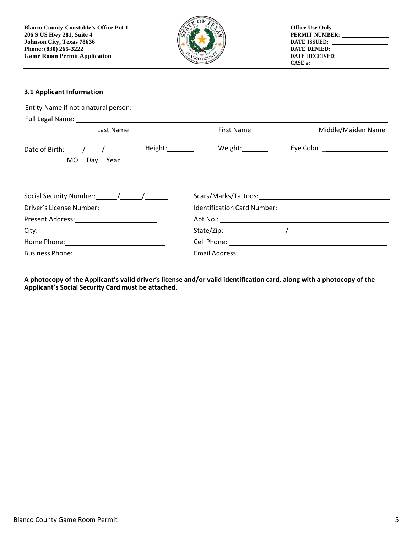

# **3.1 Applicant Information**

| Last Name                                                         | First Name      | Middle/Maiden Name               |
|-------------------------------------------------------------------|-----------------|----------------------------------|
| Height: 1997<br>Date of Birth: $\angle$ / $\angle$<br>MO Day Year | Weight:________ | Eye Color: _____________________ |
| Social Security Number: / / /                                     |                 |                                  |
| Driver's License Number: 1997                                     |                 |                                  |
|                                                                   |                 |                                  |
|                                                                   |                 |                                  |
|                                                                   |                 |                                  |
|                                                                   |                 |                                  |

A photocopy of the Applicant's valid driver's license and/or valid identification card, along with a photocopy of the **Applicant's Social Security Card must be attached.**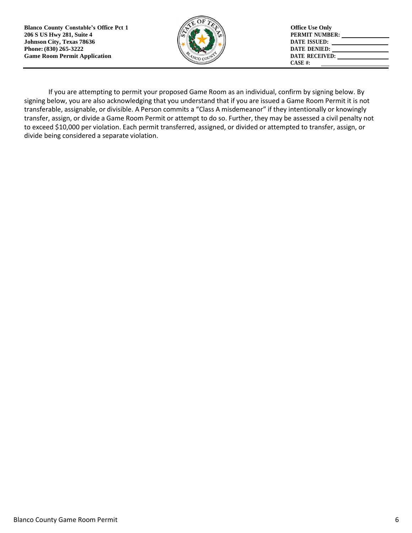**Blanco County Constable's Office Pct 1 206 S US Hwy 281, Suite 4 Johnson City, Texas 78636 Phone:(830) 265-3222 Game Room Permit Application**



**Office Use Only PERMIT NUMBER: DATE ISSUED: DATE DENIED: DATE RECEIVED: CASE #:** 

If you are attempting to permit your proposed Game Room as an individual, confirm by signing below. By signing below, you are also acknowledging that you understand that if you are issued a Game Room Permit it is not transferable, assignable, or divisible. A Person commits a "Class A misdemeanor" if they intentionally or knowingly transfer, assign, or divide a Game Room Permit or attempt to do so. Further, they may be assessed a civil penalty not to exceed \$10,000 per violation. Each permit transferred, assigned, or divided or attempted to transfer, assign, or divide being considered a separate violation.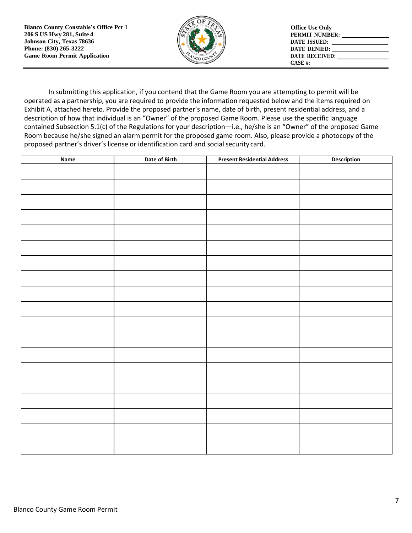

In submitting this application, if you contend that the Game Room you are attempting to permit will be operated as a partnership, you are required to provide the information requested below and the items required on Exhibit A, attached hereto. Provide the proposed partner's name, date of birth, present residential address, and a description of how that individual is an "Owner" of the proposed Game Room. Please use the specific language contained Subsection 5.1(c) of the Regulations for your description―i.e., he/she is an "Owner" of the proposed Game Room because he/she signed an alarm permit for the proposed game room. Also, please provide a photocopy of the proposed partner's driver's license or identification card and social security card.

| <b>Name</b> | Date of Birth | <b>Present Residential Address</b> | <b>Description</b> |
|-------------|---------------|------------------------------------|--------------------|
|             |               |                                    |                    |
|             |               |                                    |                    |
|             |               |                                    |                    |
|             |               |                                    |                    |
|             |               |                                    |                    |
|             |               |                                    |                    |
|             |               |                                    |                    |
|             |               |                                    |                    |
|             |               |                                    |                    |
|             |               |                                    |                    |
|             |               |                                    |                    |
|             |               |                                    |                    |
|             |               |                                    |                    |
|             |               |                                    |                    |
|             |               |                                    |                    |
|             |               |                                    |                    |
|             |               |                                    |                    |
|             |               |                                    |                    |
|             |               |                                    |                    |
|             |               |                                    |                    |
|             |               |                                    |                    |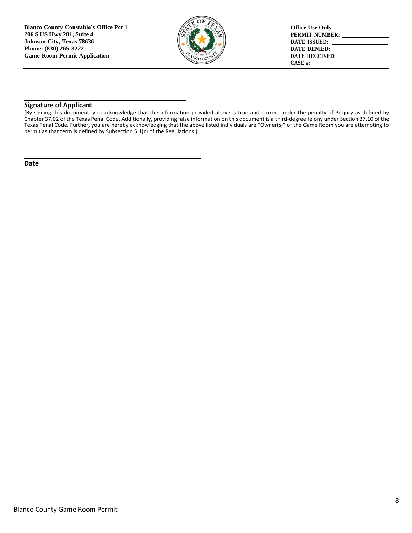

#### **Signature of Applicant**

(By signing this document, you acknowledge that the information provided above is true and correct under the penalty of Perjury as defined by Chapter 37.02 of the Texas Penal Code. Additionally, providing false information on this document is a third-degree felony under Section 37.10 of the Texas Penal Code. Further, you are hereby acknowledging that the above listed individuals are "Owner(s)" of the Game Room you are attempting to permit as that term is defined by Subsection 5.1(c) of the Regulations.)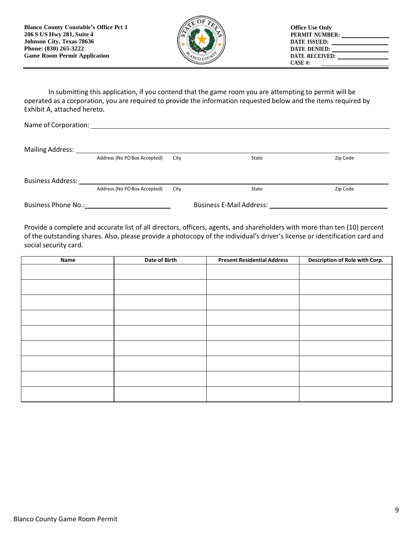

In submitting this application, if you contend that the game room you are attempting to permit will be operated as a corporation, you are required to provide the information requested below and the items required by Exhibit A, attached hereto.

| Name of Corporation:              |                              |      |                                 |          |
|-----------------------------------|------------------------------|------|---------------------------------|----------|
|                                   |                              |      |                                 |          |
| Mailing Address: Mailing Address: |                              |      |                                 |          |
|                                   | Address (No PO Box Accepted) | City | State                           | Zip Code |
|                                   |                              |      |                                 |          |
| <b>Business Address:</b>          |                              |      |                                 |          |
|                                   | Address (No PO Box Accepted) | City | State                           | Zip Code |
| <b>Business Phone No.:</b>        |                              |      | <b>Business E-Mail Address:</b> |          |

Provide a complete and accurate list of all directors, officers, agents, and shareholders with more than ten (10) percent of the outstanding shares. Also, please provide a photocopy of the individual's driver's license or identification card and social security card.

| Name | Date of Birth | <b>Present Residential Address</b> | Description of Role with Corp. |
|------|---------------|------------------------------------|--------------------------------|
|      |               |                                    |                                |
|      |               |                                    |                                |
|      |               |                                    |                                |
|      |               |                                    |                                |
|      |               |                                    |                                |
|      |               |                                    |                                |
|      |               |                                    |                                |
|      |               |                                    |                                |
|      |               |                                    |                                |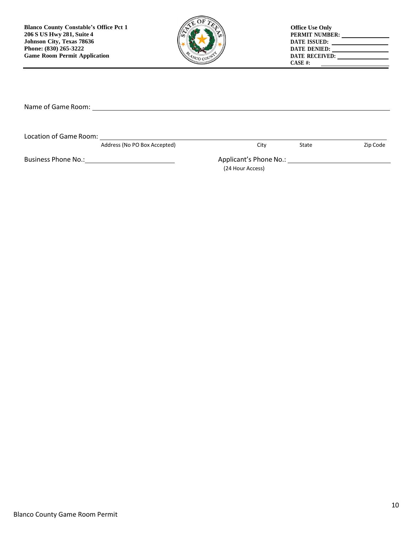

| <b>Office Use Only</b> |  |
|------------------------|--|
| PERMIT NUMBER:         |  |
| DATE ISSUED:           |  |
| <b>DATE DENIED:</b>    |  |
| <b>DATE RECEIVED:</b>  |  |
| $CASE H$ :             |  |

Name of Game Room:

Location of Game Room:

Address (No PO Box Accepted) and City City State Zip Code

Business Phone No.: 1990 120 Magnetic Applicant's Phone No.: 2008 2010 12: 2010 12: 2010 12: 2010 12: 2010 12: 2010 12: 2010 12: 2010 12: 2010 12: 2010 12: 2010 12: 2010 12: 2010 12: 2010 12: 2010 12: 2010 12: 2010 12: 201

(24 Hour Access)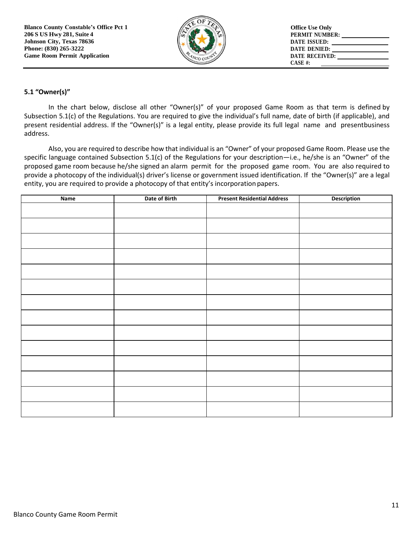

# **5.1 "Owner(s)"**

In the chart below, disclose all other "Owner(s)" of your proposed Game Room as that term is defined by Subsection 5.1(c) of the Regulations. You are required to give the individual's full name, date of birth (if applicable), and present residential address. If the "Owner(s)" is a legal entity, please provide its full legal name and presentbusiness address.

Also, you are required to describe how that individual is an "Owner" of your proposed Game Room. Please use the specific language contained Subsection 5.1(c) of the Regulations for your description—i.e., he/she is an "Owner" of the proposed game room because he/she signed an alarm permit for the proposed game room. You are also required to provide a photocopy of the individual(s) driver's license or government issued identification. If the "Owner(s)" are a legal entity, you are required to provide a photocopy of that entity's incorporation papers.

| Name | Date of Birth | <b>Present Residential Address</b> | Description |
|------|---------------|------------------------------------|-------------|
|      |               |                                    |             |
|      |               |                                    |             |
|      |               |                                    |             |
|      |               |                                    |             |
|      |               |                                    |             |
|      |               |                                    |             |
|      |               |                                    |             |
|      |               |                                    |             |
|      |               |                                    |             |
|      |               |                                    |             |
|      |               |                                    |             |
|      |               |                                    |             |
|      |               |                                    |             |
|      |               |                                    |             |
|      |               |                                    |             |
|      |               |                                    |             |
|      |               |                                    |             |
|      |               |                                    |             |
|      |               |                                    |             |
|      |               |                                    |             |
|      |               |                                    |             |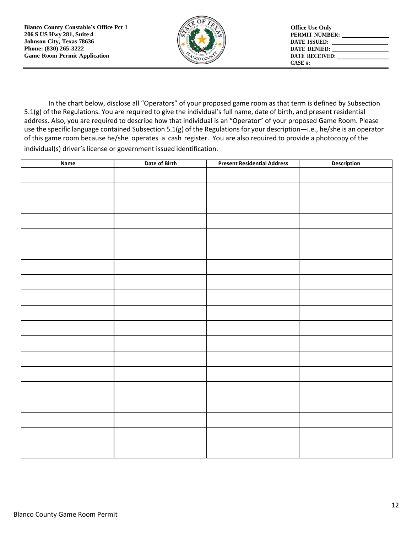

In the chart below, disclose all "Operators" of your proposed game room as that term is defined by Subsection 5.1(g) of the Regulations. You are required to give the individual's full name, date of birth, and present residential address. Also, you are required to describe how that individual is an "Operator" of your proposed Game Room. Please use the specific language contained Subsection 5.1(g) of the Regulations for your description―i.e., he/she is an operator of this game room because he/she operates a cash register. You are also required to provide a photocopy of the individual(s) driver's license or government issued identification.

| <b>Name</b> | Date of Birth | <b>Present Residential Address</b> | Description |
|-------------|---------------|------------------------------------|-------------|
|             |               |                                    |             |
|             |               |                                    |             |
|             |               |                                    |             |
|             |               |                                    |             |
|             |               |                                    |             |
|             |               |                                    |             |
|             |               |                                    |             |
|             |               |                                    |             |
|             |               |                                    |             |
|             |               |                                    |             |
|             |               |                                    |             |
|             |               |                                    |             |
|             |               |                                    |             |
|             |               |                                    |             |
|             |               |                                    |             |
|             |               |                                    |             |
|             |               |                                    |             |
|             |               |                                    |             |
|             |               |                                    |             |
|             |               |                                    |             |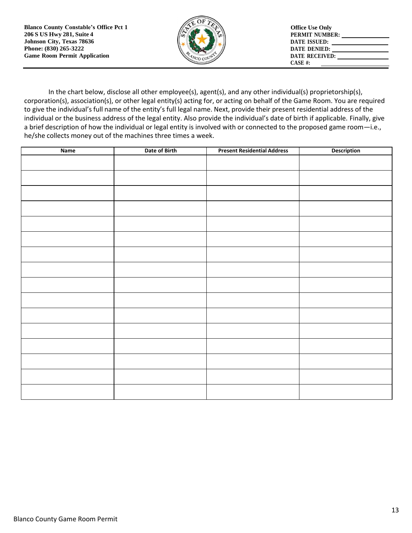

In the chart below, disclose all other employee(s), agent(s), and any other individual(s) proprietorship(s), corporation(s), association(s), or other legal entity(s) acting for, or acting on behalf of the Game Room. You are required to give the individual's full name of the entity's full legal name. Next, provide their present residential address of the individual or the business address of the legal entity. Also provide the individual's date of birth if applicable. Finally, give a brief description of how the individual or legal entity is involved with or connected to the proposed game room―i.e., he/she collects money out of the machines three times a week.

| Name | Date of Birth | <b>Present Residential Address</b> | Description |
|------|---------------|------------------------------------|-------------|
|      |               |                                    |             |
|      |               |                                    |             |
|      |               |                                    |             |
|      |               |                                    |             |
|      |               |                                    |             |
|      |               |                                    |             |
|      |               |                                    |             |
|      |               |                                    |             |
|      |               |                                    |             |
|      |               |                                    |             |
|      |               |                                    |             |
|      |               |                                    |             |
|      |               |                                    |             |
|      |               |                                    |             |
|      |               |                                    |             |
|      |               |                                    |             |
|      |               |                                    |             |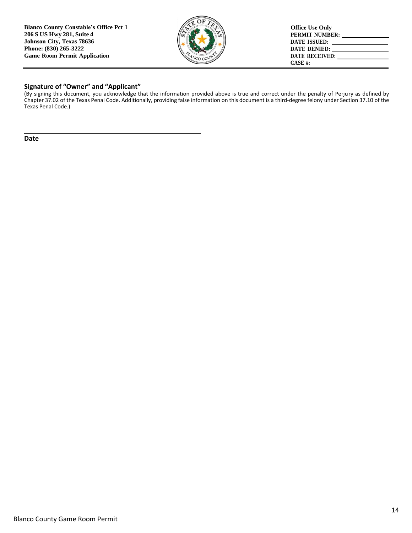

# **Signature of "Owner" and "Applicant"**

(By signing this document, you acknowledge that the information provided above is true and correct under the penalty of Perjury as defined by Chapter 37.02 of the Texas Penal Code. Additionally, providing false information on this document is a third-degree felony under Section 37.10 of the Texas Penal Code.)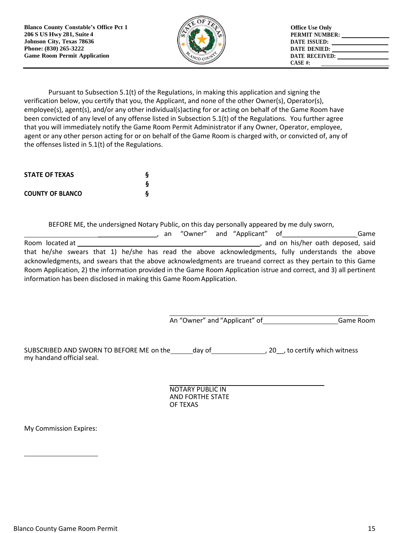**Blanco County Constable's Office Pct 1 206 S US Hwy 281, Suite 4 Johnson City, Texas 78636 Phone: (830) 265-3222 Game Room Permit Application**



Pursuant to Subsection 5.1(t) of the Regulations, in making this application and signing the verification below, you certify that you, the Applicant, and none of the other Owner(s), Operator(s), employee(s), agent(s), and/or any other individual(s)acting for or acting on behalf of the Game Room have been convicted of any level of any offense listed in Subsection 5.1(t) of the Regulations. You further agree that you will immediately notify the Game Room Permit Administrator if any Owner, Operator, employee, agent or any other person acting for or on behalf of the Game Room is charged with, or convicted of, any of the offenses listed in 5.1(t) of the Regulations.

| <b>STATE OF TEXAS</b>   | δ |
|-------------------------|---|
|                         | δ |
| <b>COUNTY OF BLANCO</b> | δ |

BEFORE ME, the undersigned Notary Public, on this day personally appeared by me duly sworn,

|                                                                                                                     |  |  |  | an "Owner" and "Applicant" of |  | Game                              |
|---------------------------------------------------------------------------------------------------------------------|--|--|--|-------------------------------|--|-----------------------------------|
| Room located at                                                                                                     |  |  |  |                               |  | and on his/her oath deposed, said |
| that he/she swears that 1) he/she has read the above acknowledgments, fully understands the above                   |  |  |  |                               |  |                                   |
| acknowledgments, and swears that the above acknowledgments are trueand correct as they pertain to this Game         |  |  |  |                               |  |                                   |
| Room Application, 2) the information provided in the Game Room Application istrue and correct, and 3) all pertinent |  |  |  |                               |  |                                   |
| information has been disclosed in making this Game Room Application.                                                |  |  |  |                               |  |                                   |

An "Owner" and "Applicant" of Game Room

SUBSCRIBED AND SWORN TO BEFORE ME on the day of , 20 pto certify which witness my handand official seal.

> NOTARY PUBLIC IN AND FORTHE STATE OF TEXAS

My Commission Expires: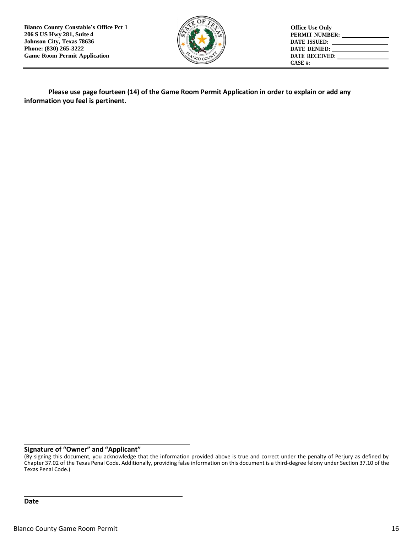**Blanco County Constable's Office Pct 1 206 S US Hwy 281, Suite 4 Johnson City, Texas 78636 Phone: (830) 265-3222 Game Room Permit Application**



**Office Use Only PERMIT NUMBER: DATE ISSUED: DATE DENIED: DATE RECEIVED: CASE #:** 

**Please use page fourteen (14) of the Game Room Permit Application in order to explain or add any information you feel is pertinent.**

## **Signature of "Owner" and "Applicant"**

<sup>(</sup>By signing this document, you acknowledge that the information provided above is true and correct under the penalty of Perjury as defined by Chapter 37.02 of the Texas Penal Code. Additionally, providing false information on this document is a third-degree felony under Section 37.10 of the Texas Penal Code.)